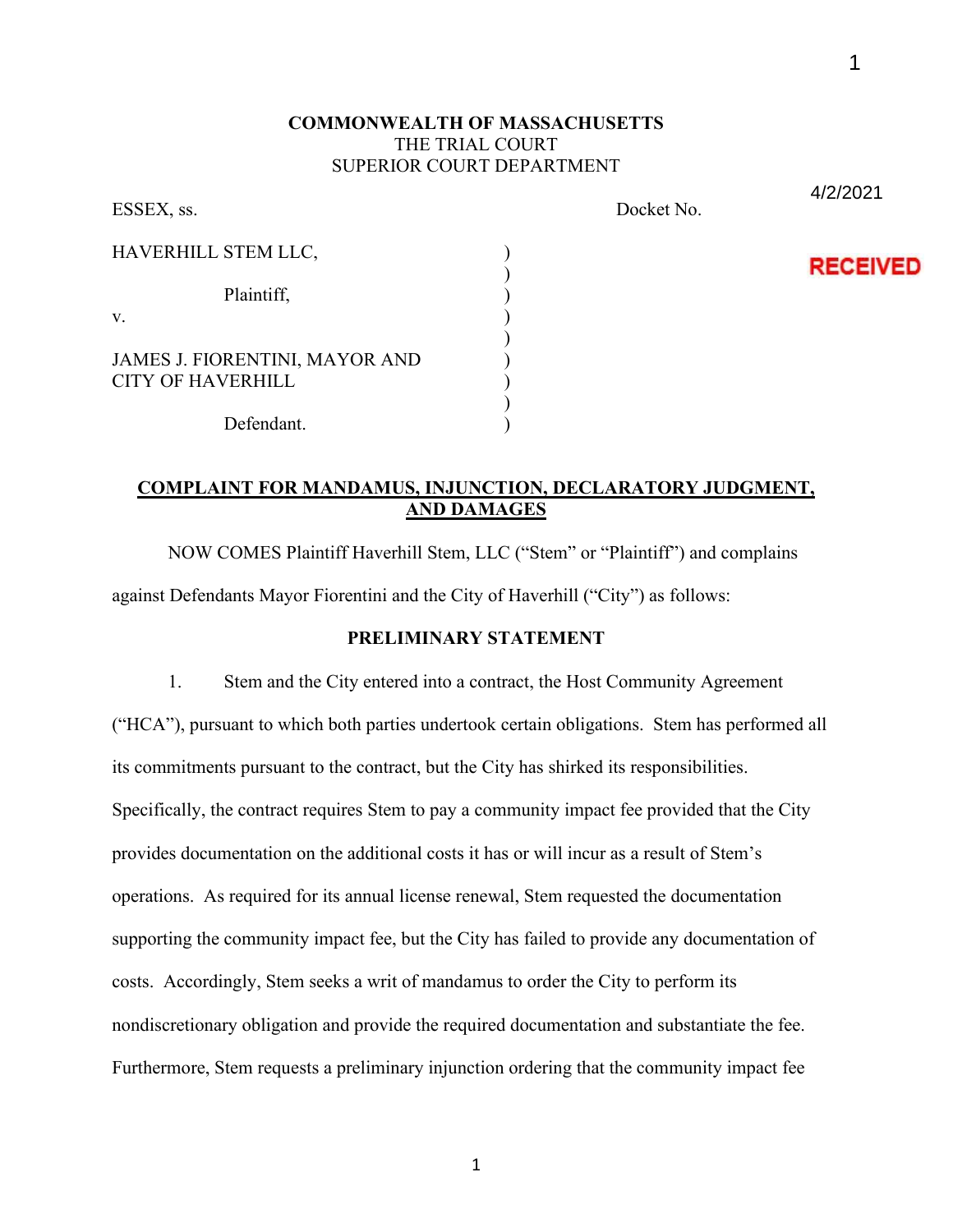## **COMMONWEALTH OF MASSACHUSETTS** THE TRIAL COURT SUPERIOR COURT DEPARTMENT

| ESSEX, ss.                                                        |  |
|-------------------------------------------------------------------|--|
| HAVERHILL STEM LLC,                                               |  |
| Plaintiff,<br>V.                                                  |  |
| <b>JAMES J. FIORENTINI, MAYOR AND</b><br><b>CITY OF HAVERHILL</b> |  |
| Defendant.                                                        |  |

Docket No.

4/2/2021

1

**RECEIVED** 

# **COMPLAINT FOR MANDAMUS, INJUNCTION, DECLARATORY JUDGMENT, AND DAMAGES**

NOW COMES Plaintiff Haverhill Stem, LLC ("Stem" or "Plaintiff") and complains against Defendants Mayor Fiorentini and the City of Haverhill ("City") as follows:

# **PRELIMINARY STATEMENT**

1. Stem and the City entered into a contract, the Host Community Agreement ("HCA"), pursuant to which both parties undertook certain obligations. Stem has performed all its commitments pursuant to the contract, but the City has shirked its responsibilities. Specifically, the contract requires Stem to pay a community impact fee provided that the City provides documentation on the additional costs it has or will incur as a result of Stem's operations. As required for its annual license renewal, Stem requested the documentation supporting the community impact fee, but the City has failed to provide any documentation of costs. Accordingly, Stem seeks a writ of mandamus to order the City to perform its nondiscretionary obligation and provide the required documentation and substantiate the fee. Furthermore, Stem requests a preliminary injunction ordering that the community impact fee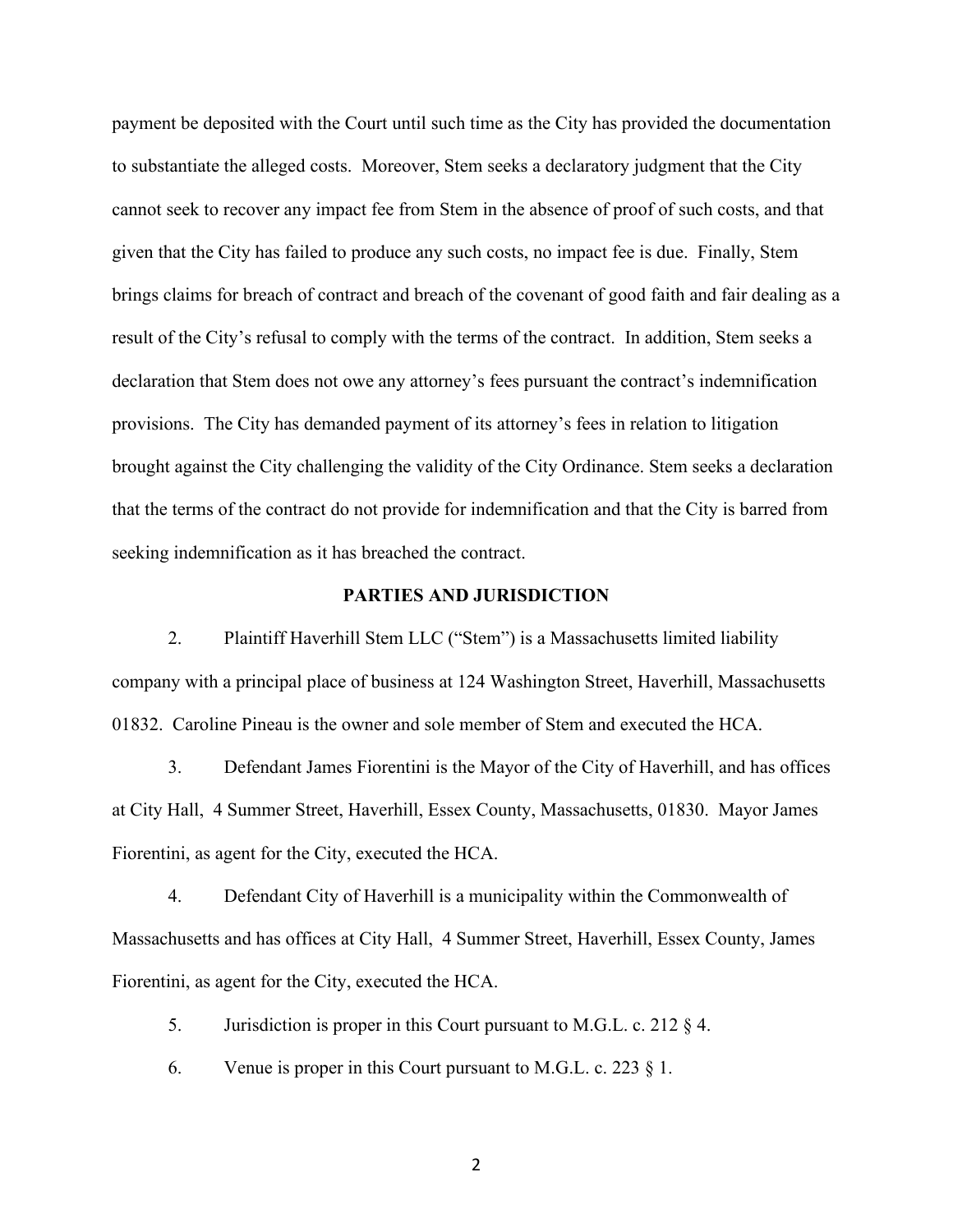payment be deposited with the Court until such time as the City has provided the documentation to substantiate the alleged costs. Moreover, Stem seeks a declaratory judgment that the City cannot seek to recover any impact fee from Stem in the absence of proof of such costs, and that given that the City has failed to produce any such costs, no impact fee is due. Finally, Stem brings claims for breach of contract and breach of the covenant of good faith and fair dealing as a result of the City's refusal to comply with the terms of the contract. In addition, Stem seeks a declaration that Stem does not owe any attorney's fees pursuant the contract's indemnification provisions. The City has demanded payment of its attorney's fees in relation to litigation brought against the City challenging the validity of the City Ordinance. Stem seeks a declaration that the terms of the contract do not provide for indemnification and that the City is barred from seeking indemnification as it has breached the contract.

#### **PARTIES AND JURISDICTION**

2. Plaintiff Haverhill Stem LLC ("Stem") is a Massachusetts limited liability company with a principal place of business at 124 Washington Street, Haverhill, Massachusetts 01832. Caroline Pineau is the owner and sole member of Stem and executed the HCA.

3. Defendant James Fiorentini is the Mayor of the City of Haverhill, and has offices at City Hall, 4 Summer Street, Haverhill, Essex County, Massachusetts, 01830. Mayor James Fiorentini, as agent for the City, executed the HCA.

4. Defendant City of Haverhill is a municipality within the Commonwealth of Massachusetts and has offices at City Hall, 4 Summer Street, Haverhill, Essex County, James Fiorentini, as agent for the City, executed the HCA.

5. Jurisdiction is proper in this Court pursuant to M.G.L. c. 212 § 4.

6. Venue is proper in this Court pursuant to M.G.L. c. 223  $\S$  1.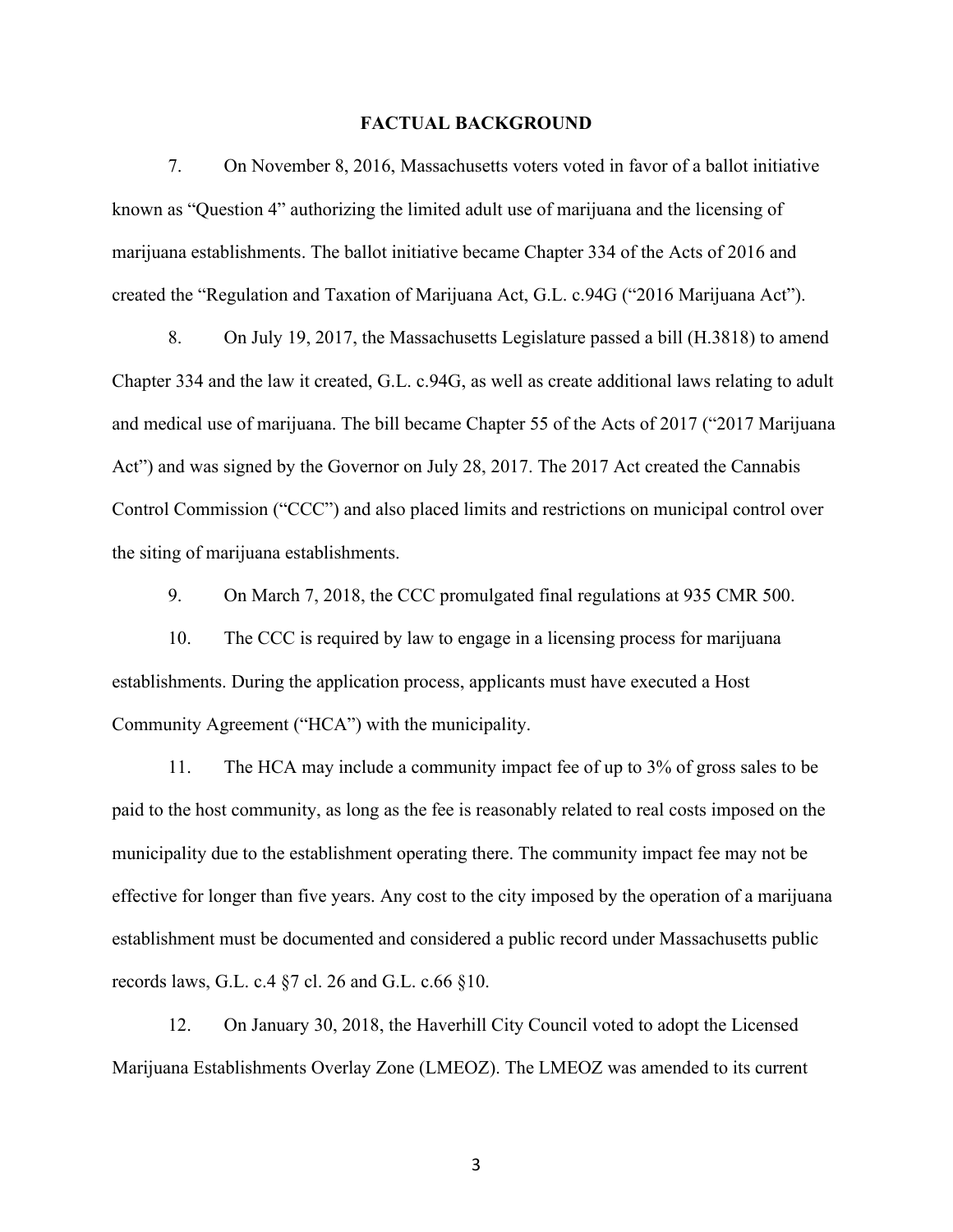#### **FACTUAL BACKGROUND**

7. On November 8, 2016, Massachusetts voters voted in favor of a ballot initiative known as "Question 4" authorizing the limited adult use of marijuana and the licensing of marijuana establishments. The ballot initiative became Chapter 334 of the Acts of 2016 and created the "Regulation and Taxation of Marijuana Act, G.L. c.94G ("2016 Marijuana Act").

8. On July 19, 2017, the Massachusetts Legislature passed a bill (H.3818) to amend Chapter 334 and the law it created, G.L. c.94G, as well as create additional laws relating to adult and medical use of marijuana. The bill became Chapter 55 of the Acts of 2017 ("2017 Marijuana Act") and was signed by the Governor on July 28, 2017. The 2017 Act created the Cannabis Control Commission ("CCC") and also placed limits and restrictions on municipal control over the siting of marijuana establishments.

9. On March 7, 2018, the CCC promulgated final regulations at 935 CMR 500.

10. The CCC is required by law to engage in a licensing process for marijuana establishments. During the application process, applicants must have executed a Host Community Agreement ("HCA") with the municipality.

11. The HCA may include a community impact fee of up to 3% of gross sales to be paid to the host community, as long as the fee is reasonably related to real costs imposed on the municipality due to the establishment operating there. The community impact fee may not be effective for longer than five years. Any cost to the city imposed by the operation of a marijuana establishment must be documented and considered a public record under Massachusetts public records laws, G.L. c.4 §7 cl. 26 and G.L. c.66 §10.

12. On January 30, 2018, the Haverhill City Council voted to adopt the Licensed Marijuana Establishments Overlay Zone (LMEOZ). The LMEOZ was amended to its current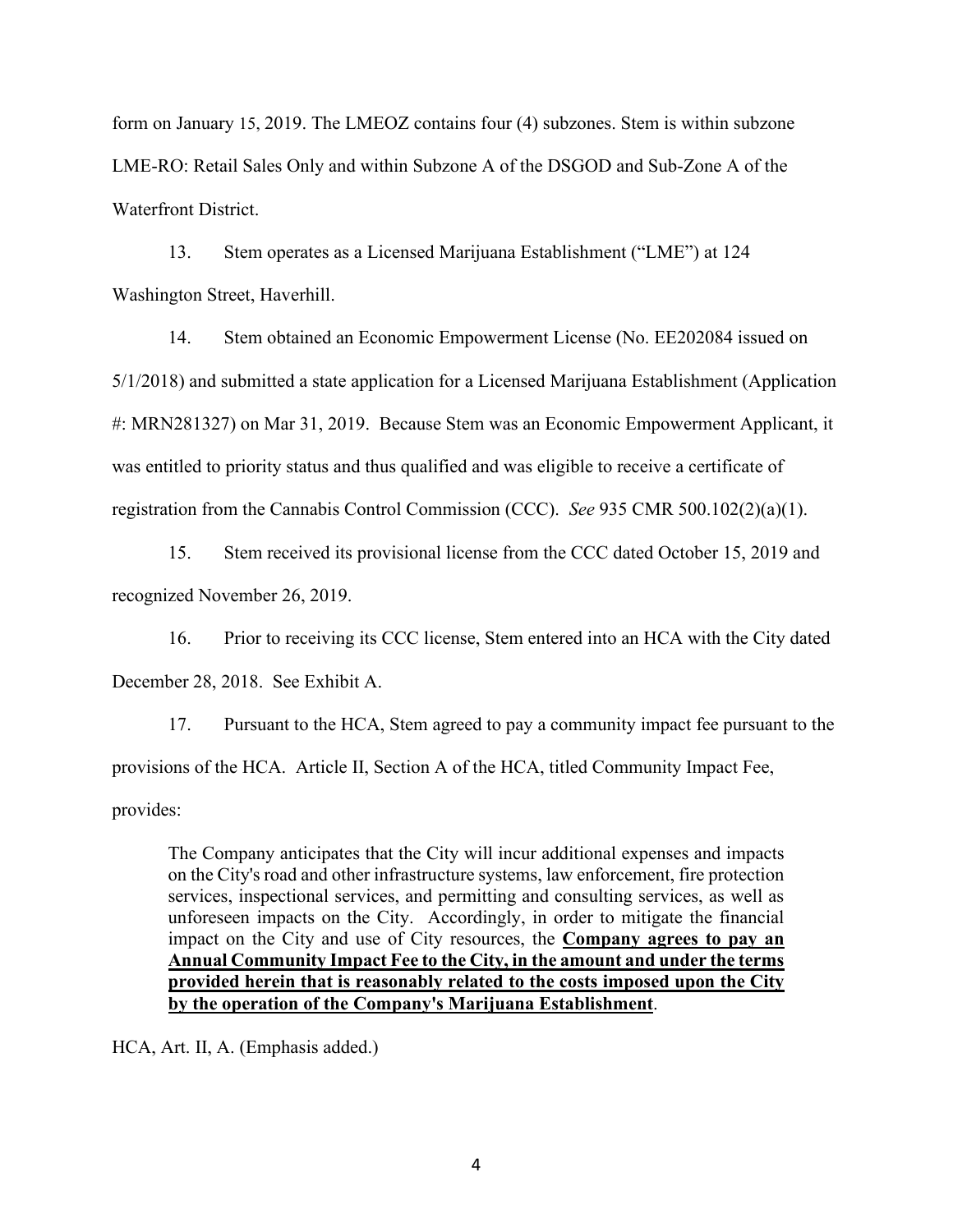form on January 15, 2019. The LMEOZ contains four (4) subzones. Stem is within subzone LME-RO: Retail Sales Only and within Subzone A of the DSGOD and Sub-Zone A of the Waterfront District.

13. Stem operates as a Licensed Marijuana Establishment ("LME") at 124 Washington Street, Haverhill.

14. Stem obtained an Economic Empowerment License (No. EE202084 issued on 5/1/2018) and submitted a state application for a Licensed Marijuana Establishment (Application #: MRN281327) on Mar 31, 2019. Because Stem was an Economic Empowerment Applicant, it was entitled to priority status and thus qualified and was eligible to receive a certificate of registration from the Cannabis Control Commission (CCC). *See* 935 CMR 500.102(2)(a)(1).

15. Stem received its provisional license from the CCC dated October 15, 2019 and recognized November 26, 2019.

16. Prior to receiving its CCC license, Stem entered into an HCA with the City dated December 28, 2018. See Exhibit A.

17. Pursuant to the HCA, Stem agreed to pay a community impact fee pursuant to the provisions of the HCA. Article II, Section A of the HCA, titled Community Impact Fee, provides:

The Company anticipates that the City will incur additional expenses and impacts on the City's road and other infrastructure systems, law enforcement, fire protection services, inspectional services, and permitting and consulting services, as well as unforeseen impacts on the City. Accordingly, in order to mitigate the financial impact on the City and use of City resources, the **Company agrees to pay an Annual Community Impact Fee to the City, in the amount and under the terms provided herein that is reasonably related to the costs imposed upon the City by the operation of the Company's Marijuana Establishment**.

HCA, Art. II, A. (Emphasis added.)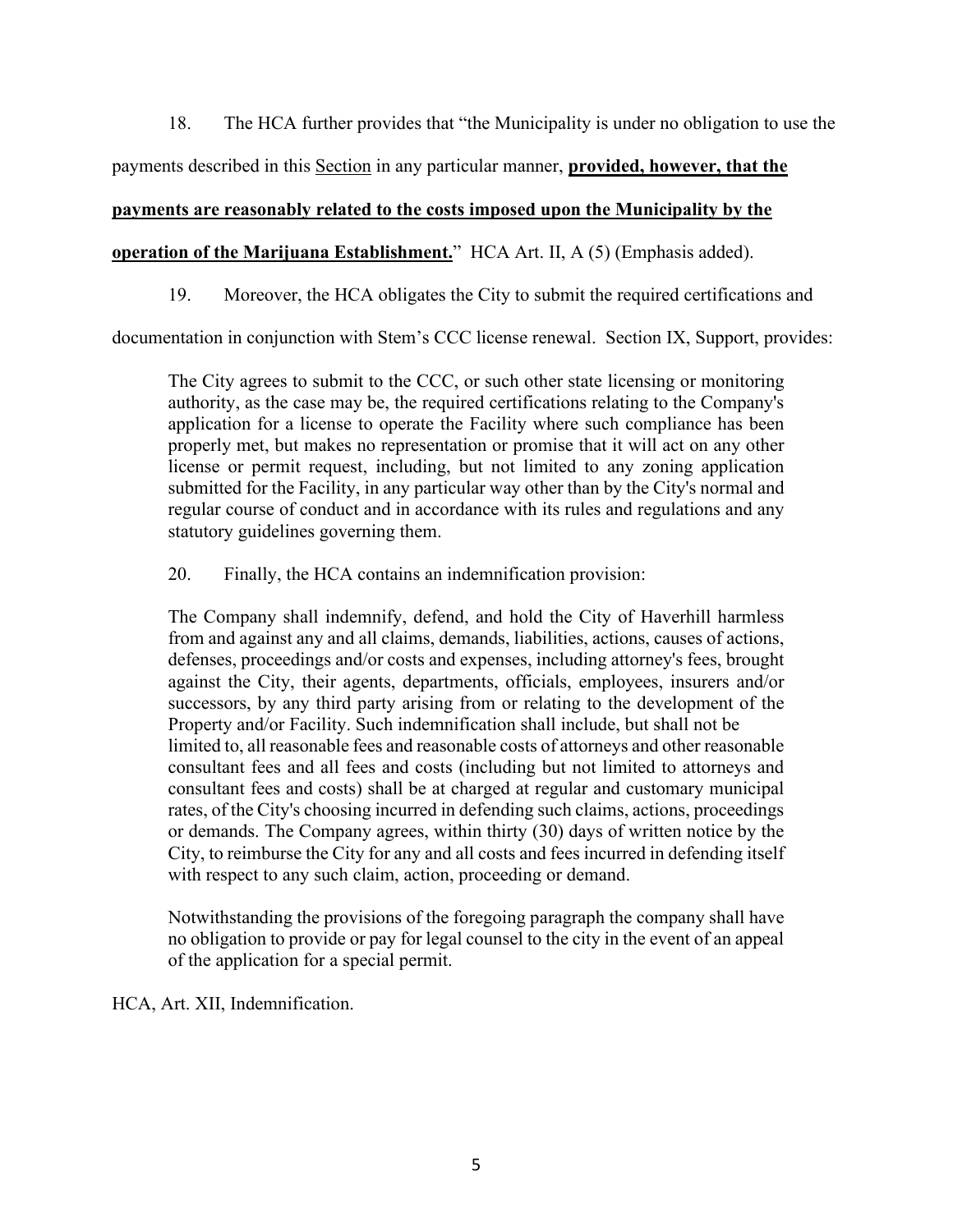18. The HCA further provides that "the Municipality is under no obligation to use the

payments described in this Section in any particular manner, **provided, however, that the** 

### **payments are reasonably related to the costs imposed upon the Municipality by the**

# **operation of the Marijuana Establishment.**" HCA Art. II, A (5) (Emphasis added).

19. Moreover, the HCA obligates the City to submit the required certifications and

documentation in conjunction with Stem's CCC license renewal. Section IX, Support, provides:

The City agrees to submit to the CCC, or such other state licensing or monitoring authority, as the case may be, the required certifications relating to the Company's application for a license to operate the Facility where such compliance has been properly met, but makes no representation or promise that it will act on any other license or permit request, including, but not limited to any zoning application submitted for the Facility, in any particular way other than by the City's normal and regular course of conduct and in accordance with its rules and regulations and any statutory guidelines governing them.

20. Finally, the HCA contains an indemnification provision:

The Company shall indemnify, defend, and hold the City of Haverhill harmless from and against any and all claims, demands, liabilities, actions, causes of actions, defenses, proceedings and/or costs and expenses, including attorney's fees, brought against the City, their agents, departments, officials, employees, insurers and/or successors, by any third party arising from or relating to the development of the Property and/or Facility. Such indemnification shall include, but shall not be limited to, all reasonable fees and reasonable costs of attorneys and other reasonable consultant fees and all fees and costs (including but not limited to attorneys and consultant fees and costs) shall be at charged at regular and customary municipal rates, of the City's choosing incurred in defending such claims, actions, proceedings or demands. The Company agrees, within thirty (30) days of written notice by the City, to reimburse the City for any and all costs and fees incurred in defending itself with respect to any such claim, action, proceeding or demand.

Notwithstanding the provisions of the foregoing paragraph the company shall have no obligation to provide or pay for legal counsel to the city in the event of an appeal of the application for a special permit.

HCA, Art. XII, Indemnification.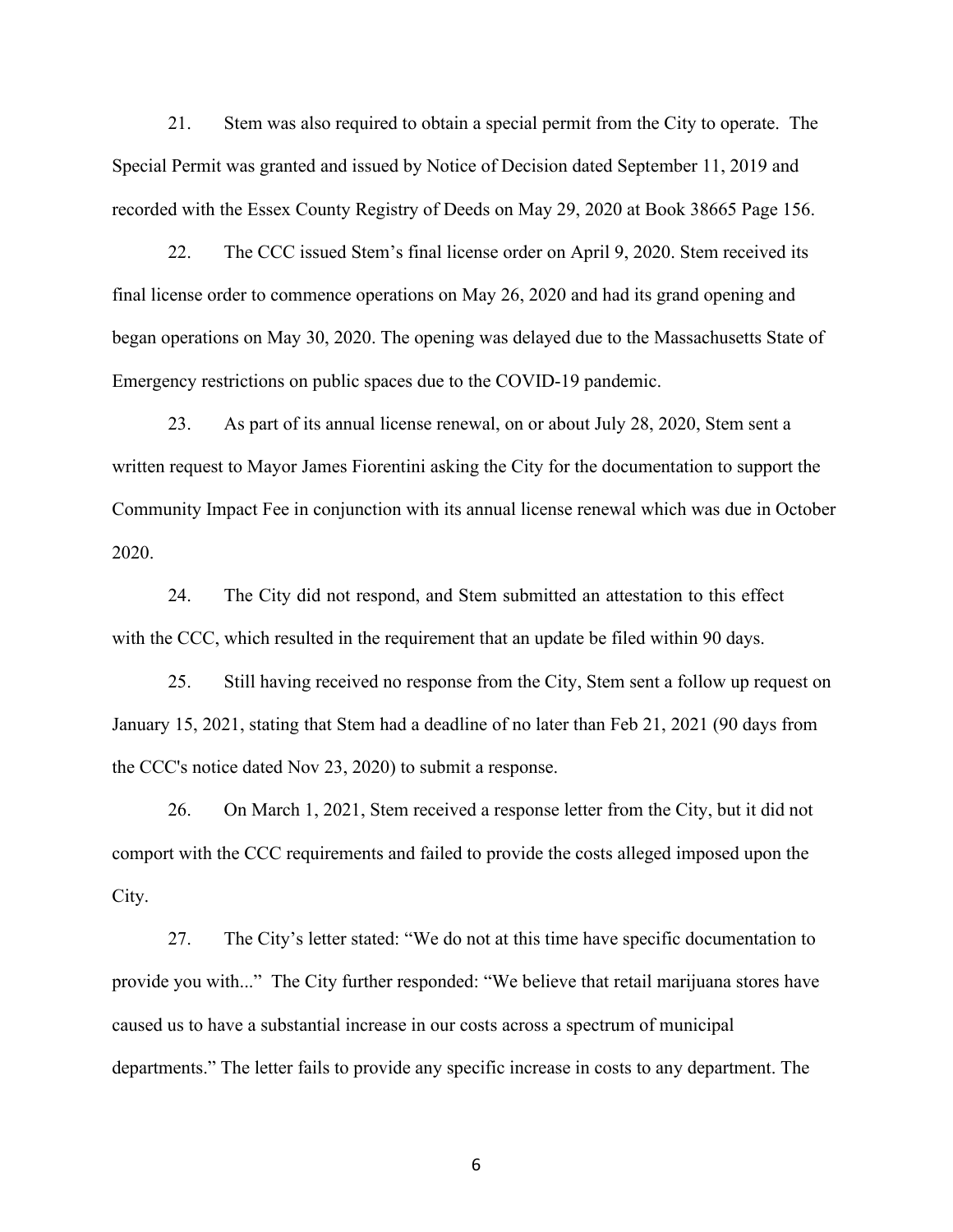21. Stem was also required to obtain a special permit from the City to operate. The Special Permit was granted and issued by Notice of Decision dated September 11, 2019 and recorded with the Essex County Registry of Deeds on May 29, 2020 at Book 38665 Page 156.

22. The CCC issued Stem's final license order on April 9, 2020. Stem received its final license order to commence operations on May 26, 2020 and had its grand opening and began operations on May 30, 2020. The opening was delayed due to the Massachusetts State of Emergency restrictions on public spaces due to the COVID-19 pandemic.

23. As part of its annual license renewal, on or about July 28, 2020, Stem sent a written request to Mayor James Fiorentini asking the City for the documentation to support the Community Impact Fee in conjunction with its annual license renewal which was due in October 2020.

24. The City did not respond, and Stem submitted an attestation to this effect with the CCC, which resulted in the requirement that an update be filed within 90 days.

25. Still having received no response from the City, Stem sent a follow up request on January 15, 2021, stating that Stem had a deadline of no later than Feb 21, 2021 (90 days from the CCC's notice dated Nov 23, 2020) to submit a response.

26. On March 1, 2021, Stem received a response letter from the City, but it did not comport with the CCC requirements and failed to provide the costs alleged imposed upon the City.

27. The City's letter stated: "We do not at this time have specific documentation to provide you with..." The City further responded: "We believe that retail marijuana stores have caused us to have a substantial increase in our costs across a spectrum of municipal departments." The letter fails to provide any specific increase in costs to any department. The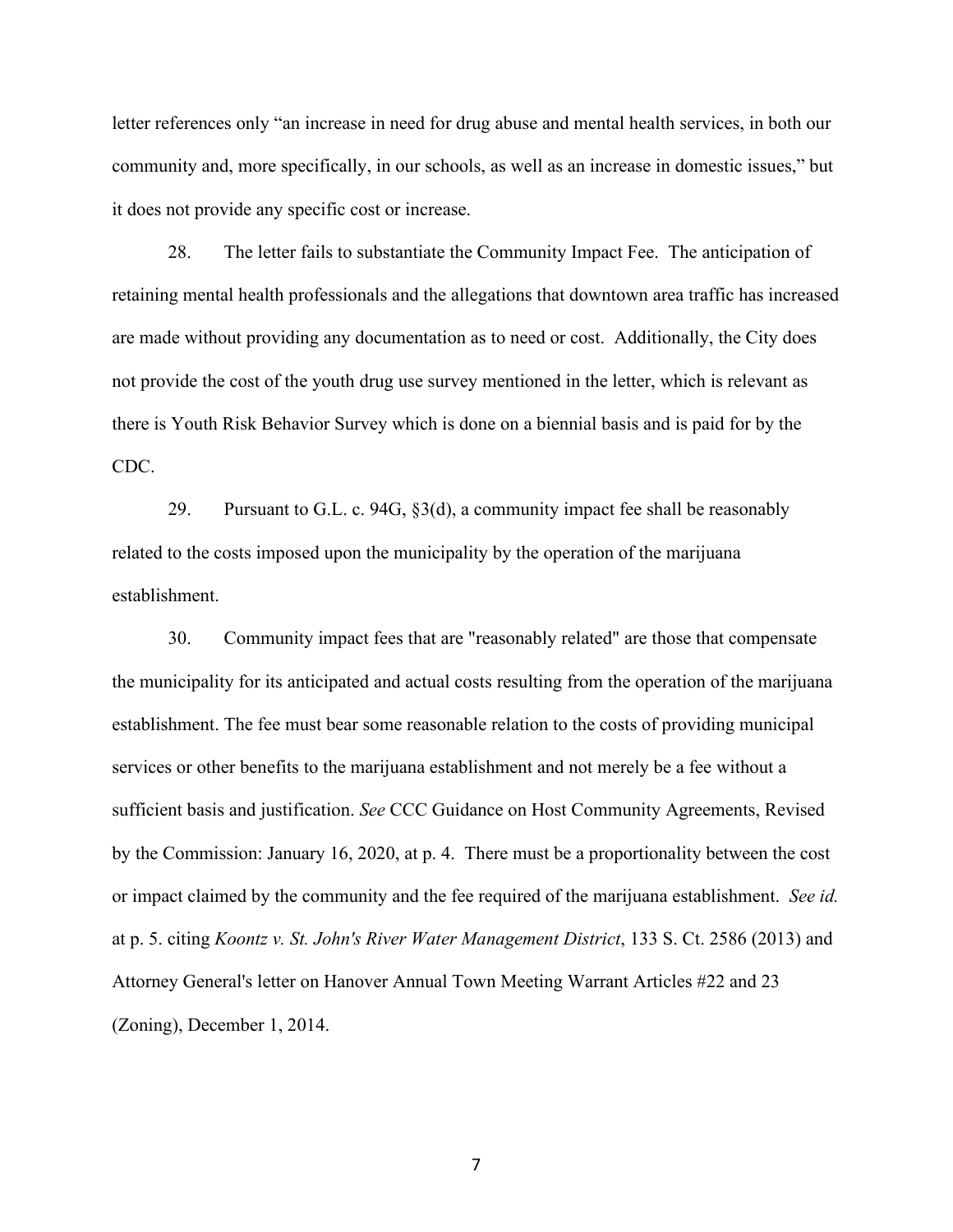letter references only "an increase in need for drug abuse and mental health services, in both our community and, more specifically, in our schools, as well as an increase in domestic issues," but it does not provide any specific cost or increase.

28. The letter fails to substantiate the Community Impact Fee. The anticipation of retaining mental health professionals and the allegations that downtown area traffic has increased are made without providing any documentation as to need or cost. Additionally, the City does not provide the cost of the youth drug use survey mentioned in the letter, which is relevant as there is Youth Risk Behavior Survey which is done on a biennial basis and is paid for by the CDC.

29. Pursuant to G.L. c. 94G, §3(d), a community impact fee shall be reasonably related to the costs imposed upon the municipality by the operation of the marijuana establishment.

30. Community impact fees that are "reasonably related" are those that compensate the municipality for its anticipated and actual costs resulting from the operation of the marijuana establishment. The fee must bear some reasonable relation to the costs of providing municipal services or other benefits to the marijuana establishment and not merely be a fee without a sufficient basis and justification. *See* CCC Guidance on Host Community Agreements, Revised by the Commission: January 16, 2020, at p. 4. There must be a proportionality between the cost or impact claimed by the community and the fee required of the marijuana establishment. *See id.* at p. 5. citing *Koontz v. St. John's River Water Management District*, 133 S. Ct. 2586 (2013) and Attorney General's letter on Hanover Annual Town Meeting Warrant Articles #22 and 23 (Zoning), December 1, 2014.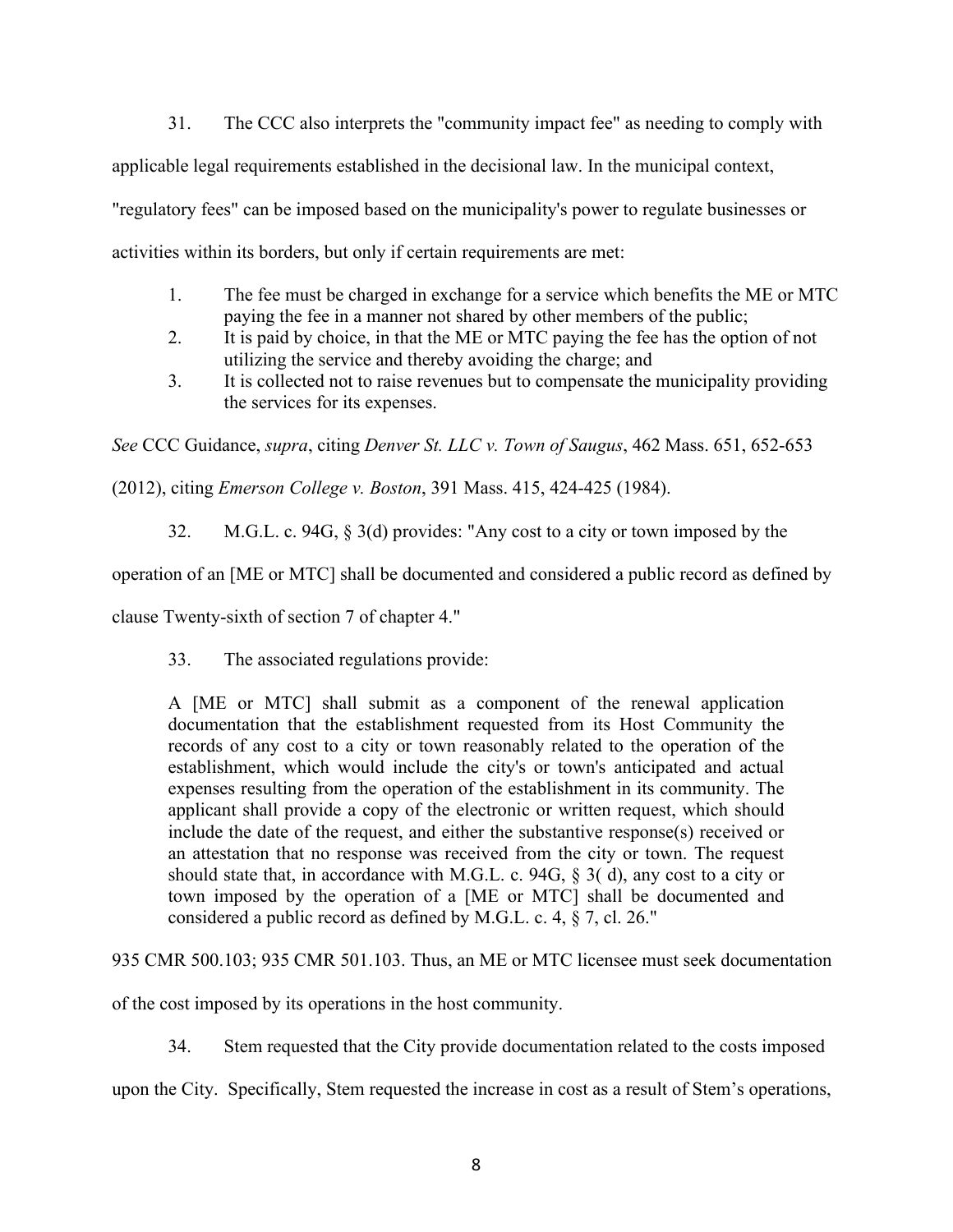31. The CCC also interprets the "community impact fee" as needing to comply with

applicable legal requirements established in the decisional law. In the municipal context,

"regulatory fees" can be imposed based on the municipality's power to regulate businesses or

activities within its borders, but only if certain requirements are met:

- 1. The fee must be charged in exchange for a service which benefits the ME or MTC paying the fee in a manner not shared by other members of the public;
- 2. It is paid by choice, in that the ME or MTC paying the fee has the option of not utilizing the service and thereby avoiding the charge; and
- 3. It is collected not to raise revenues but to compensate the municipality providing the services for its expenses.

*See* CCC Guidance, *supra*, citing *Denver St. LLC v. Town of Saugus*, 462 Mass. 651, 652-653

(2012), citing *Emerson College v. Boston*, 391 Mass. 415, 424-425 (1984).

32. M.G.L. c. 94G, § 3(d) provides: "Any cost to a city or town imposed by the

operation of an [ME or MTC] shall be documented and considered a public record as defined by

clause Twenty-sixth of section 7 of chapter 4."

33. The associated regulations provide:

A [ME or MTC] shall submit as a component of the renewal application documentation that the establishment requested from its Host Community the records of any cost to a city or town reasonably related to the operation of the establishment, which would include the city's or town's anticipated and actual expenses resulting from the operation of the establishment in its community. The applicant shall provide a copy of the electronic or written request, which should include the date of the request, and either the substantive response(s) received or an attestation that no response was received from the city or town. The request should state that, in accordance with M.G.L. c. 94G, § 3( d), any cost to a city or town imposed by the operation of a [ME or MTC] shall be documented and considered a public record as defined by M.G.L. c. 4, § 7, cl. 26."

935 CMR 500.103; 935 CMR 501.103. Thus, an ME or MTC licensee must seek documentation

of the cost imposed by its operations in the host community.

34. Stem requested that the City provide documentation related to the costs imposed

upon the City. Specifically, Stem requested the increase in cost as a result of Stem's operations,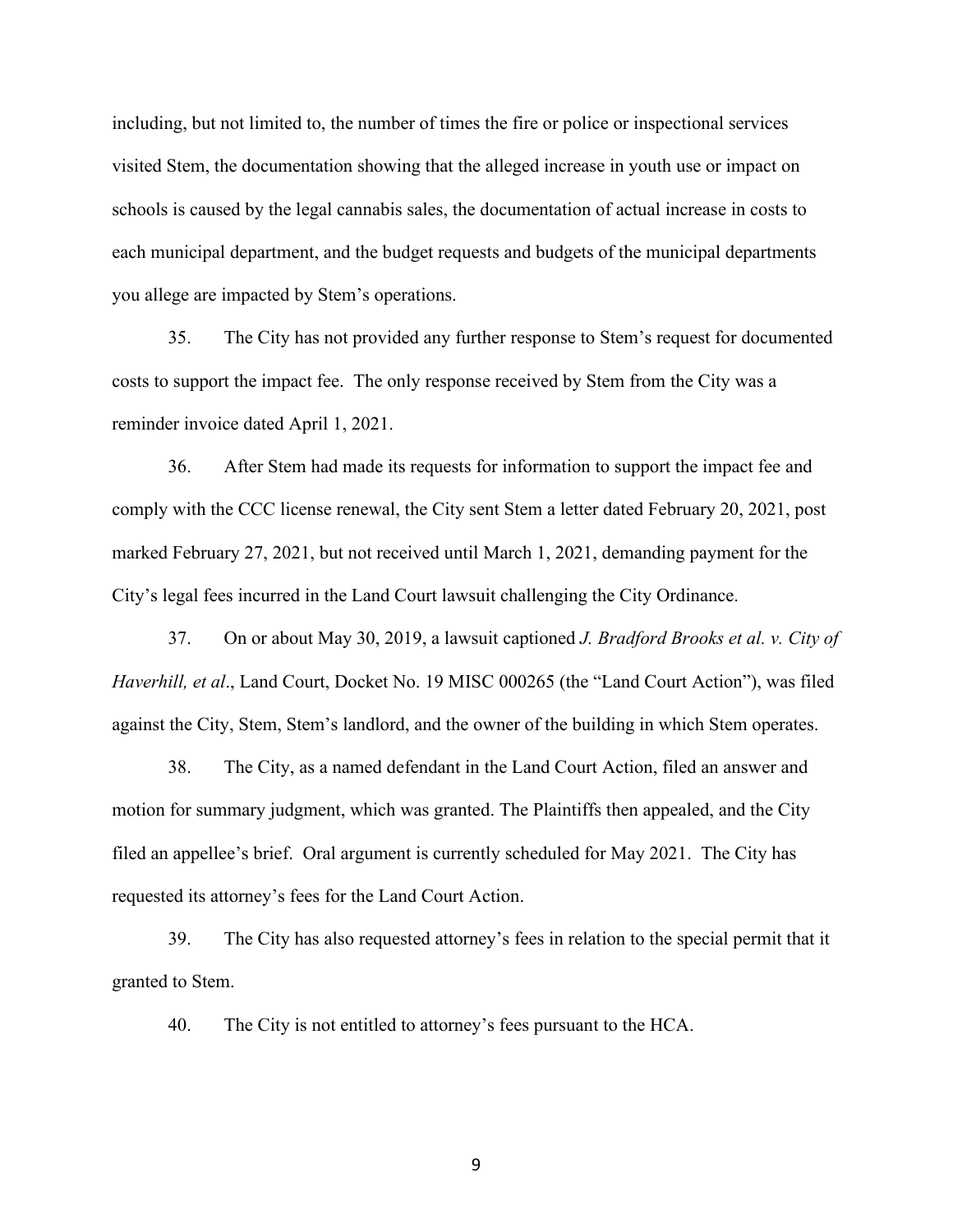including, but not limited to, the number of times the fire or police or inspectional services visited Stem, the documentation showing that the alleged increase in youth use or impact on schools is caused by the legal cannabis sales, the documentation of actual increase in costs to each municipal department, and the budget requests and budgets of the municipal departments you allege are impacted by Stem's operations.

35. The City has not provided any further response to Stem's request for documented costs to support the impact fee. The only response received by Stem from the City was a reminder invoice dated April 1, 2021.

36. After Stem had made its requests for information to support the impact fee and comply with the CCC license renewal, the City sent Stem a letter dated February 20, 2021, post marked February 27, 2021, but not received until March 1, 2021, demanding payment for the City's legal fees incurred in the Land Court lawsuit challenging the City Ordinance.

37. On or about May 30, 2019, a lawsuit captioned *J. Bradford Brooks et al. v. City of Haverhill, et al*., Land Court, Docket No. 19 MISC 000265 (the "Land Court Action"), was filed against the City, Stem, Stem's landlord, and the owner of the building in which Stem operates.

38. The City, as a named defendant in the Land Court Action, filed an answer and motion for summary judgment, which was granted. The Plaintiffs then appealed, and the City filed an appellee's brief. Oral argument is currently scheduled for May 2021. The City has requested its attorney's fees for the Land Court Action.

39. The City has also requested attorney's fees in relation to the special permit that it granted to Stem.

40. The City is not entitled to attorney's fees pursuant to the HCA.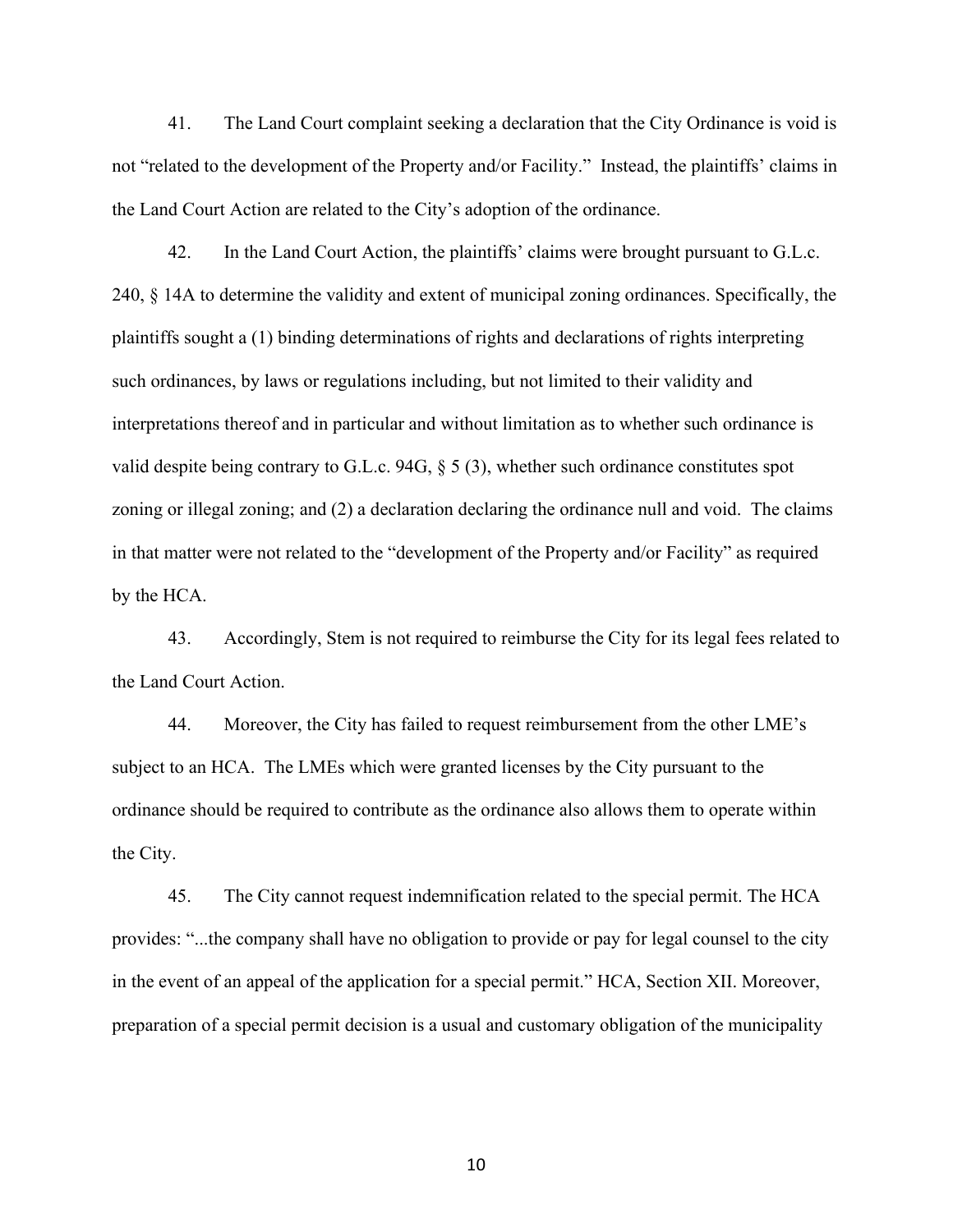41. The Land Court complaint seeking a declaration that the City Ordinance is void is not "related to the development of the Property and/or Facility." Instead, the plaintiffs' claims in the Land Court Action are related to the City's adoption of the ordinance.

42. In the Land Court Action, the plaintiffs' claims were brought pursuant to G.L.c. 240, § 14A to determine the validity and extent of municipal zoning ordinances. Specifically, the plaintiffs sought a (1) binding determinations of rights and declarations of rights interpreting such ordinances, by laws or regulations including, but not limited to their validity and interpretations thereof and in particular and without limitation as to whether such ordinance is valid despite being contrary to G.L.c. 94G, § 5 (3), whether such ordinance constitutes spot zoning or illegal zoning; and (2) a declaration declaring the ordinance null and void. The claims in that matter were not related to the "development of the Property and/or Facility" as required by the HCA.

43. Accordingly, Stem is not required to reimburse the City for its legal fees related to the Land Court Action.

44. Moreover, the City has failed to request reimbursement from the other LME's subject to an HCA. The LMEs which were granted licenses by the City pursuant to the ordinance should be required to contribute as the ordinance also allows them to operate within the City.

45. The City cannot request indemnification related to the special permit. The HCA provides: "...the company shall have no obligation to provide or pay for legal counsel to the city in the event of an appeal of the application for a special permit." HCA, Section XII. Moreover, preparation of a special permit decision is a usual and customary obligation of the municipality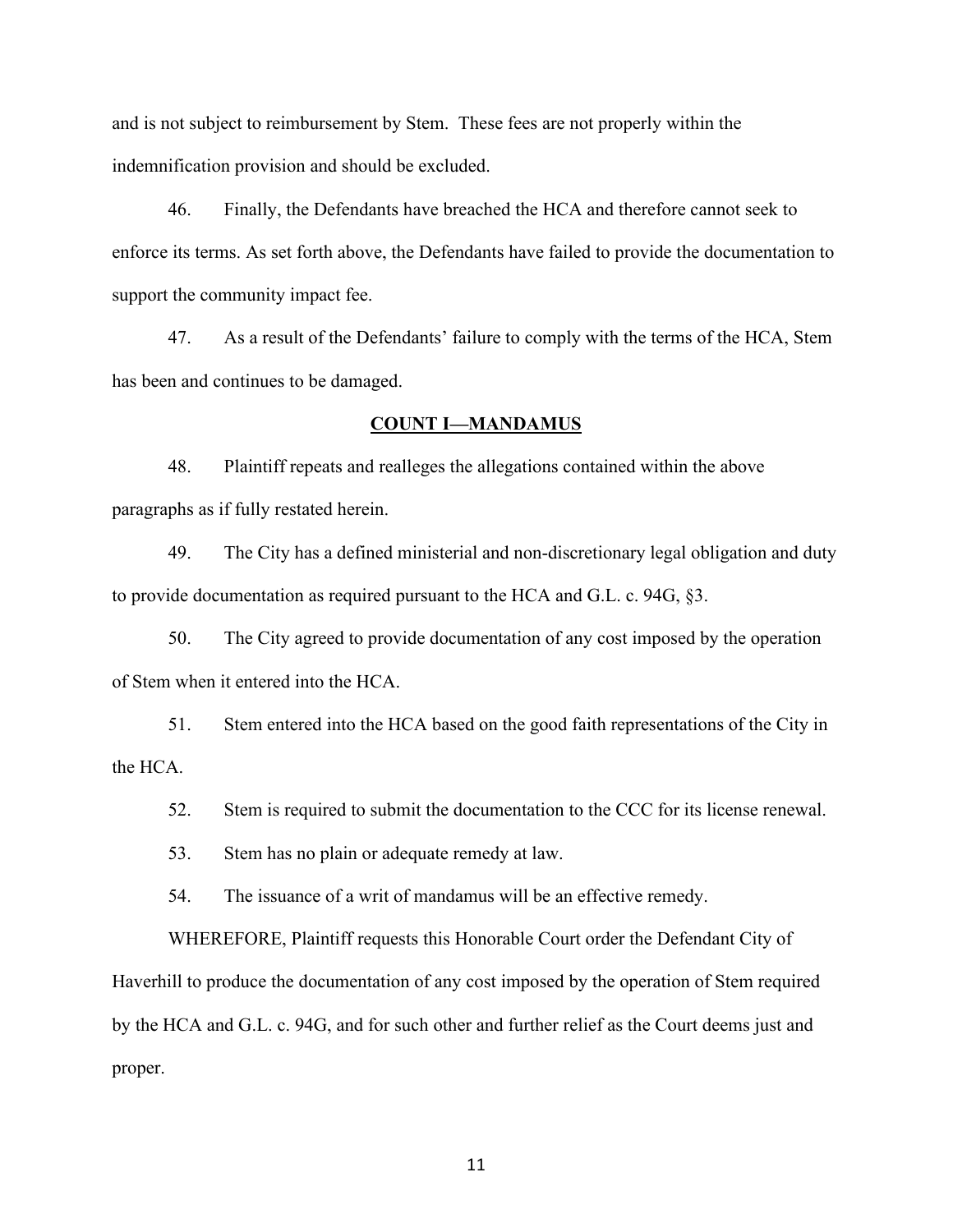and is not subject to reimbursement by Stem. These fees are not properly within the indemnification provision and should be excluded.

46. Finally, the Defendants have breached the HCA and therefore cannot seek to enforce its terms. As set forth above, the Defendants have failed to provide the documentation to support the community impact fee.

47. As a result of the Defendants' failure to comply with the terms of the HCA, Stem has been and continues to be damaged.

## **COUNT I—MANDAMUS**

48. Plaintiff repeats and realleges the allegations contained within the above paragraphs as if fully restated herein.

49. The City has a defined ministerial and non-discretionary legal obligation and duty to provide documentation as required pursuant to the HCA and G.L. c. 94G, §3.

50. The City agreed to provide documentation of any cost imposed by the operation of Stem when it entered into the HCA.

51. Stem entered into the HCA based on the good faith representations of the City in the HCA.

52. Stem is required to submit the documentation to the CCC for its license renewal.

53. Stem has no plain or adequate remedy at law.

54. The issuance of a writ of mandamus will be an effective remedy.

WHEREFORE, Plaintiff requests this Honorable Court order the Defendant City of Haverhill to produce the documentation of any cost imposed by the operation of Stem required by the HCA and G.L. c. 94G, and for such other and further relief as the Court deems just and proper.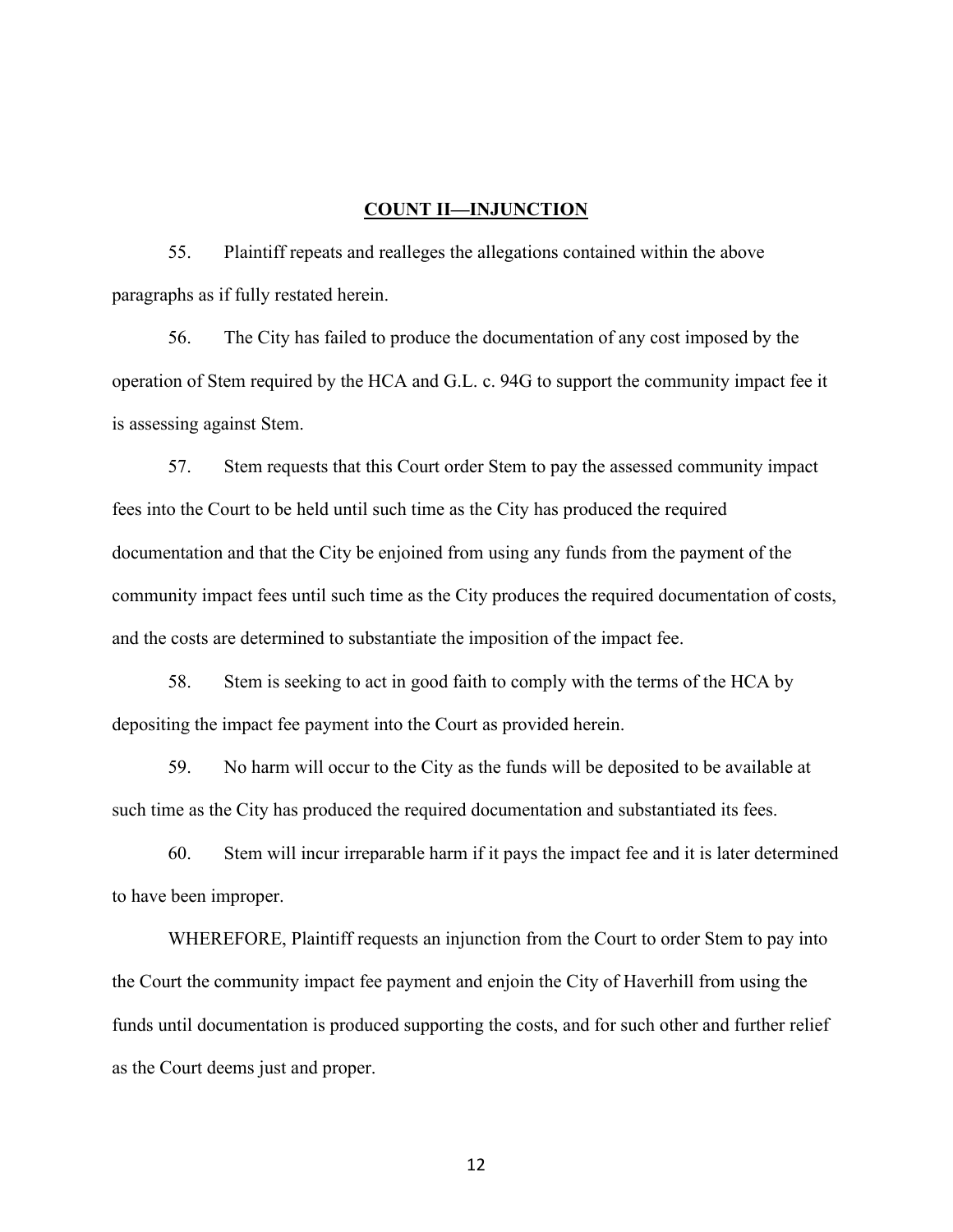#### **COUNT II—INJUNCTION**

55. Plaintiff repeats and realleges the allegations contained within the above paragraphs as if fully restated herein.

56. The City has failed to produce the documentation of any cost imposed by the operation of Stem required by the HCA and G.L. c. 94G to support the community impact fee it is assessing against Stem.

57. Stem requests that this Court order Stem to pay the assessed community impact fees into the Court to be held until such time as the City has produced the required documentation and that the City be enjoined from using any funds from the payment of the community impact fees until such time as the City produces the required documentation of costs, and the costs are determined to substantiate the imposition of the impact fee.

58. Stem is seeking to act in good faith to comply with the terms of the HCA by depositing the impact fee payment into the Court as provided herein.

59. No harm will occur to the City as the funds will be deposited to be available at such time as the City has produced the required documentation and substantiated its fees.

60. Stem will incur irreparable harm if it pays the impact fee and it is later determined to have been improper.

WHEREFORE, Plaintiff requests an injunction from the Court to order Stem to pay into the Court the community impact fee payment and enjoin the City of Haverhill from using the funds until documentation is produced supporting the costs, and for such other and further relief as the Court deems just and proper.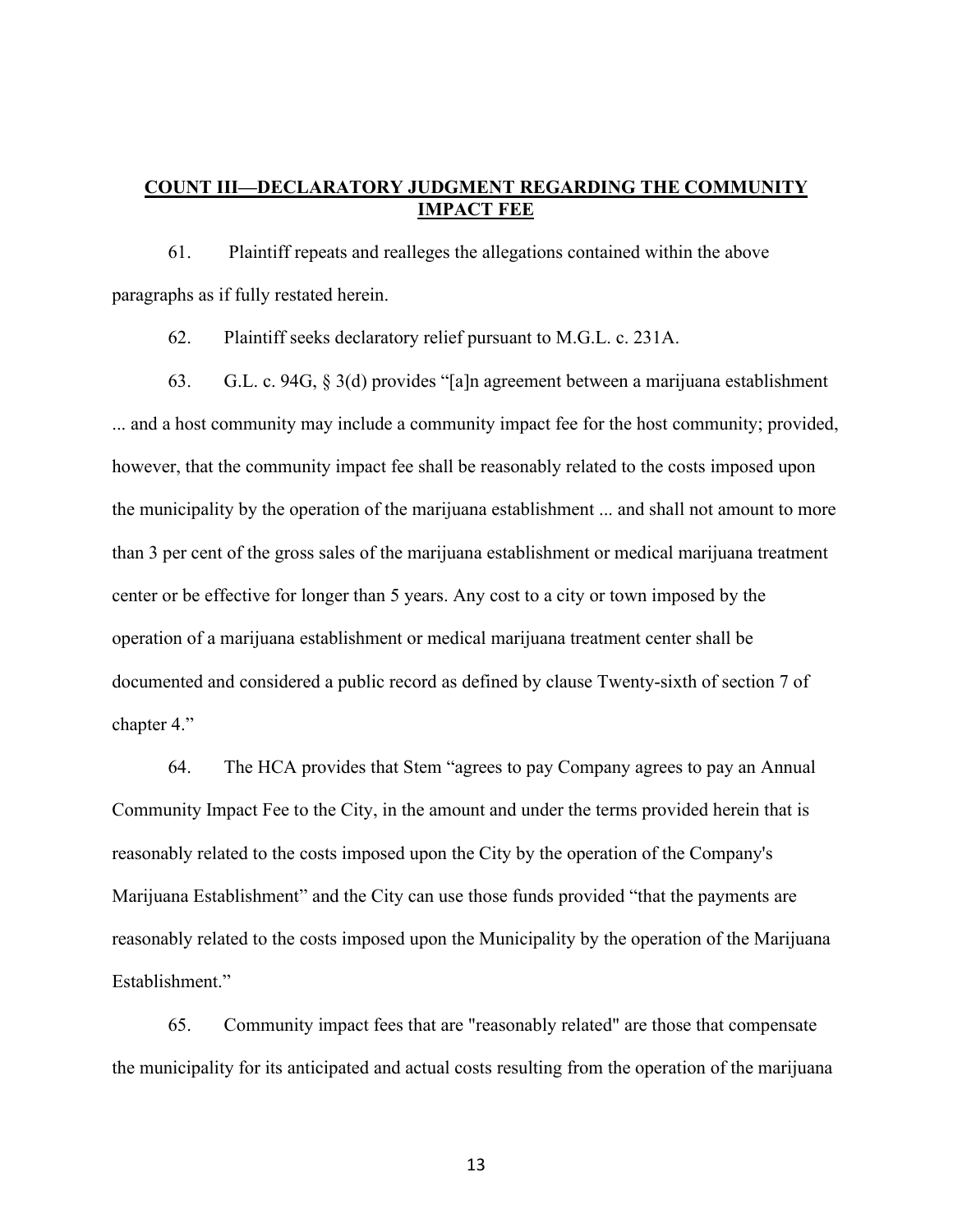## **COUNT III—DECLARATORY JUDGMENT REGARDING THE COMMUNITY IMPACT FEE**

61. Plaintiff repeats and realleges the allegations contained within the above paragraphs as if fully restated herein.

62. Plaintiff seeks declaratory relief pursuant to M.G.L. c. 231A.

63. G.L. c. 94G, § 3(d) provides "[a]n agreement between a marijuana establishment ... and a host community may include a community impact fee for the host community; provided, however, that the community impact fee shall be reasonably related to the costs imposed upon the municipality by the operation of the marijuana establishment ... and shall not amount to more than 3 per cent of the gross sales of the marijuana establishment or medical marijuana treatment center or be effective for longer than 5 years. Any cost to a city or town imposed by the operation of a marijuana establishment or medical marijuana treatment center shall be documented and considered a public record as defined by clause Twenty-sixth of section 7 of chapter 4."

64. The HCA provides that Stem "agrees to pay Company agrees to pay an Annual Community Impact Fee to the City, in the amount and under the terms provided herein that is reasonably related to the costs imposed upon the City by the operation of the Company's Marijuana Establishment" and the City can use those funds provided "that the payments are reasonably related to the costs imposed upon the Municipality by the operation of the Marijuana Establishment."

65. Community impact fees that are "reasonably related" are those that compensate the municipality for its anticipated and actual costs resulting from the operation of the marijuana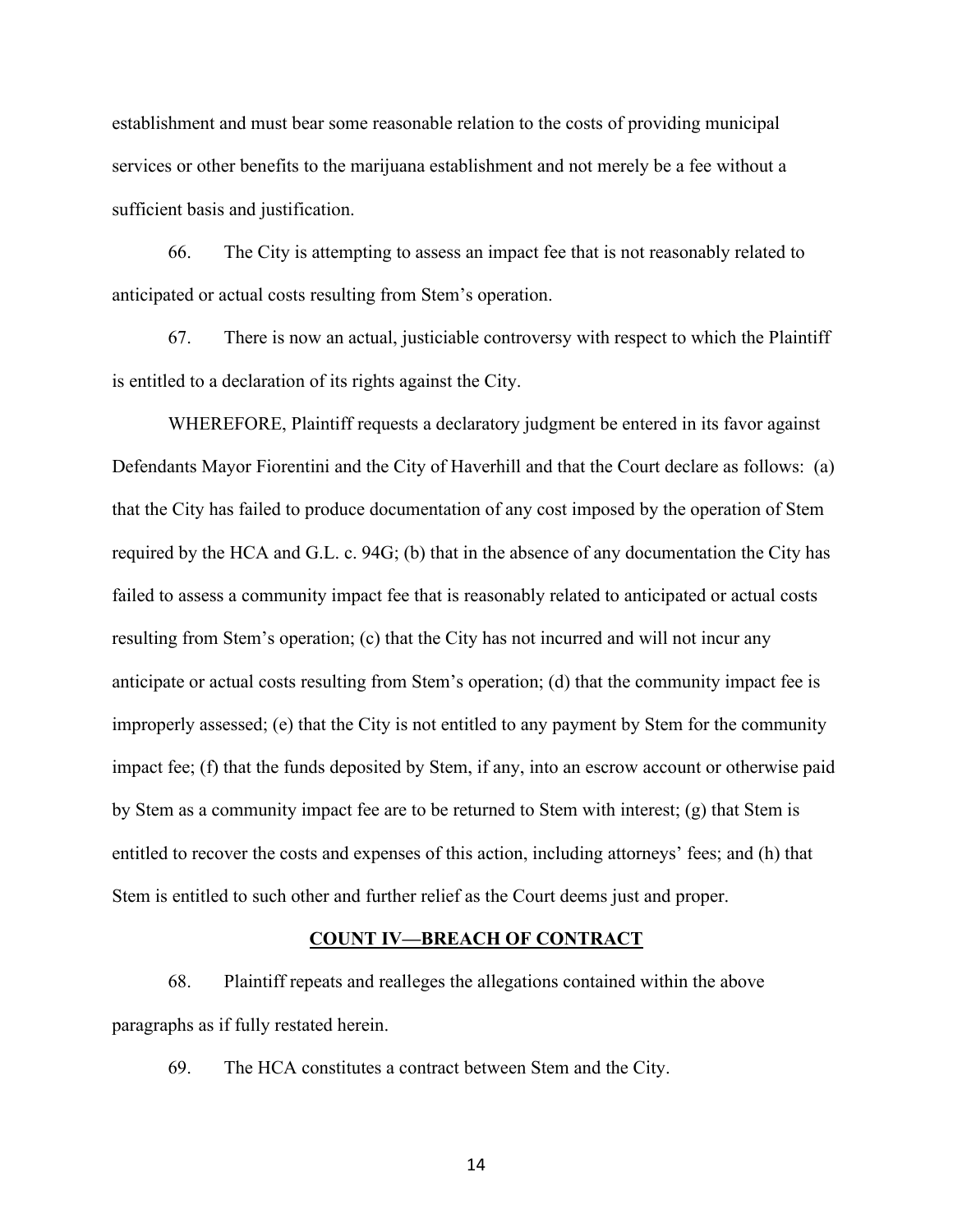establishment and must bear some reasonable relation to the costs of providing municipal services or other benefits to the marijuana establishment and not merely be a fee without a sufficient basis and justification.

66. The City is attempting to assess an impact fee that is not reasonably related to anticipated or actual costs resulting from Stem's operation.

67. There is now an actual, justiciable controversy with respect to which the Plaintiff is entitled to a declaration of its rights against the City.

WHEREFORE, Plaintiff requests a declaratory judgment be entered in its favor against Defendants Mayor Fiorentini and the City of Haverhill and that the Court declare as follows: (a) that the City has failed to produce documentation of any cost imposed by the operation of Stem required by the HCA and G.L. c. 94G; (b) that in the absence of any documentation the City has failed to assess a community impact fee that is reasonably related to anticipated or actual costs resulting from Stem's operation; (c) that the City has not incurred and will not incur any anticipate or actual costs resulting from Stem's operation; (d) that the community impact fee is improperly assessed; (e) that the City is not entitled to any payment by Stem for the community impact fee; (f) that the funds deposited by Stem, if any, into an escrow account or otherwise paid by Stem as a community impact fee are to be returned to Stem with interest; (g) that Stem is entitled to recover the costs and expenses of this action, including attorneys' fees; and (h) that Stem is entitled to such other and further relief as the Court deems just and proper.

#### **COUNT IV—BREACH OF CONTRACT**

68. Plaintiff repeats and realleges the allegations contained within the above paragraphs as if fully restated herein.

69. The HCA constitutes a contract between Stem and the City.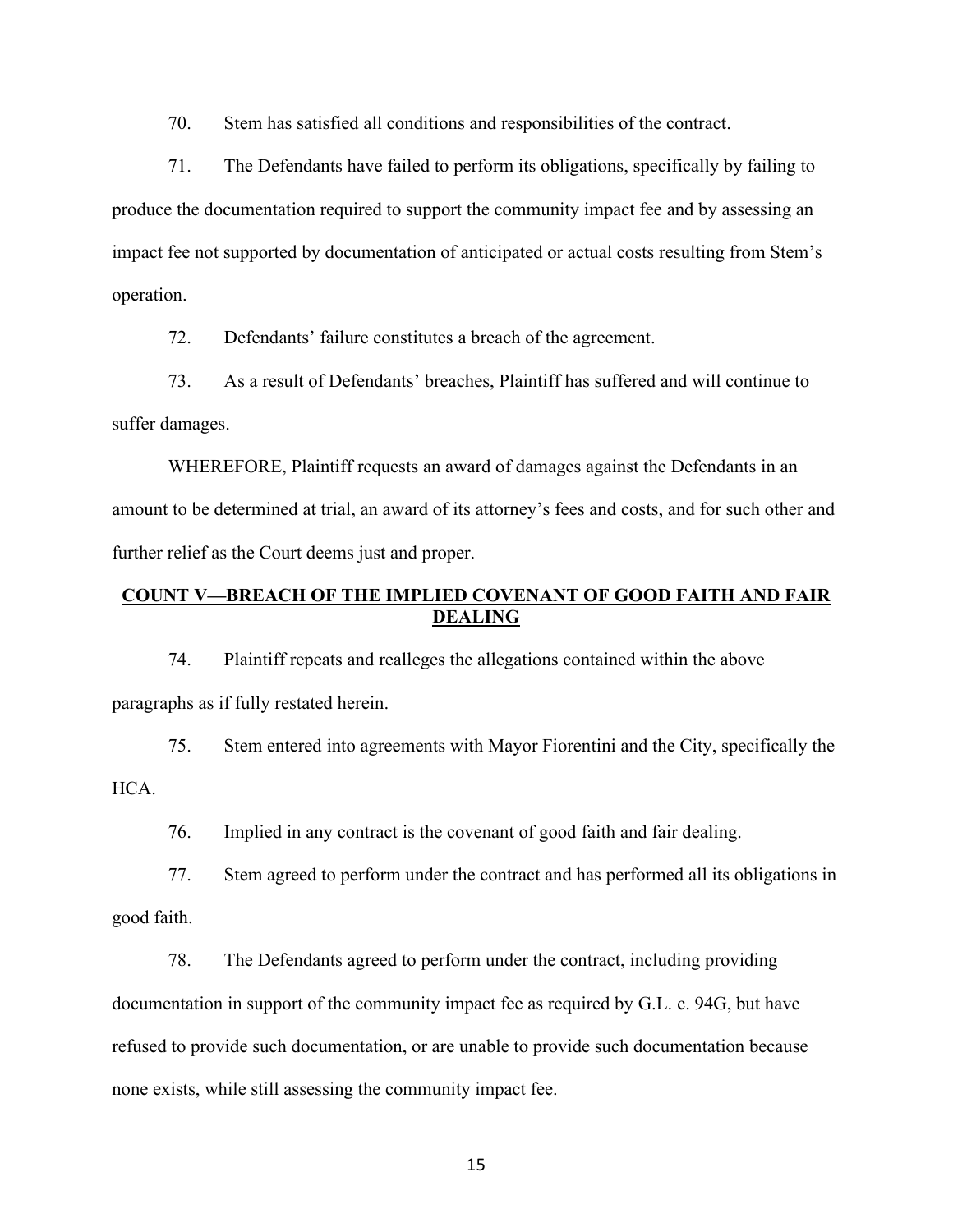70. Stem has satisfied all conditions and responsibilities of the contract.

71. The Defendants have failed to perform its obligations, specifically by failing to produce the documentation required to support the community impact fee and by assessing an impact fee not supported by documentation of anticipated or actual costs resulting from Stem's operation.

72. Defendants' failure constitutes a breach of the agreement.

73. As a result of Defendants' breaches, Plaintiff has suffered and will continue to suffer damages.

WHEREFORE, Plaintiff requests an award of damages against the Defendants in an amount to be determined at trial, an award of its attorney's fees and costs, and for such other and further relief as the Court deems just and proper.

## **COUNT V—BREACH OF THE IMPLIED COVENANT OF GOOD FAITH AND FAIR DEALING**

74. Plaintiff repeats and realleges the allegations contained within the above paragraphs as if fully restated herein.

75. Stem entered into agreements with Mayor Fiorentini and the City, specifically the HCA.

76. Implied in any contract is the covenant of good faith and fair dealing.

77. Stem agreed to perform under the contract and has performed all its obligations in good faith.

78. The Defendants agreed to perform under the contract, including providing

documentation in support of the community impact fee as required by G.L. c. 94G, but have

refused to provide such documentation, or are unable to provide such documentation because

none exists, while still assessing the community impact fee.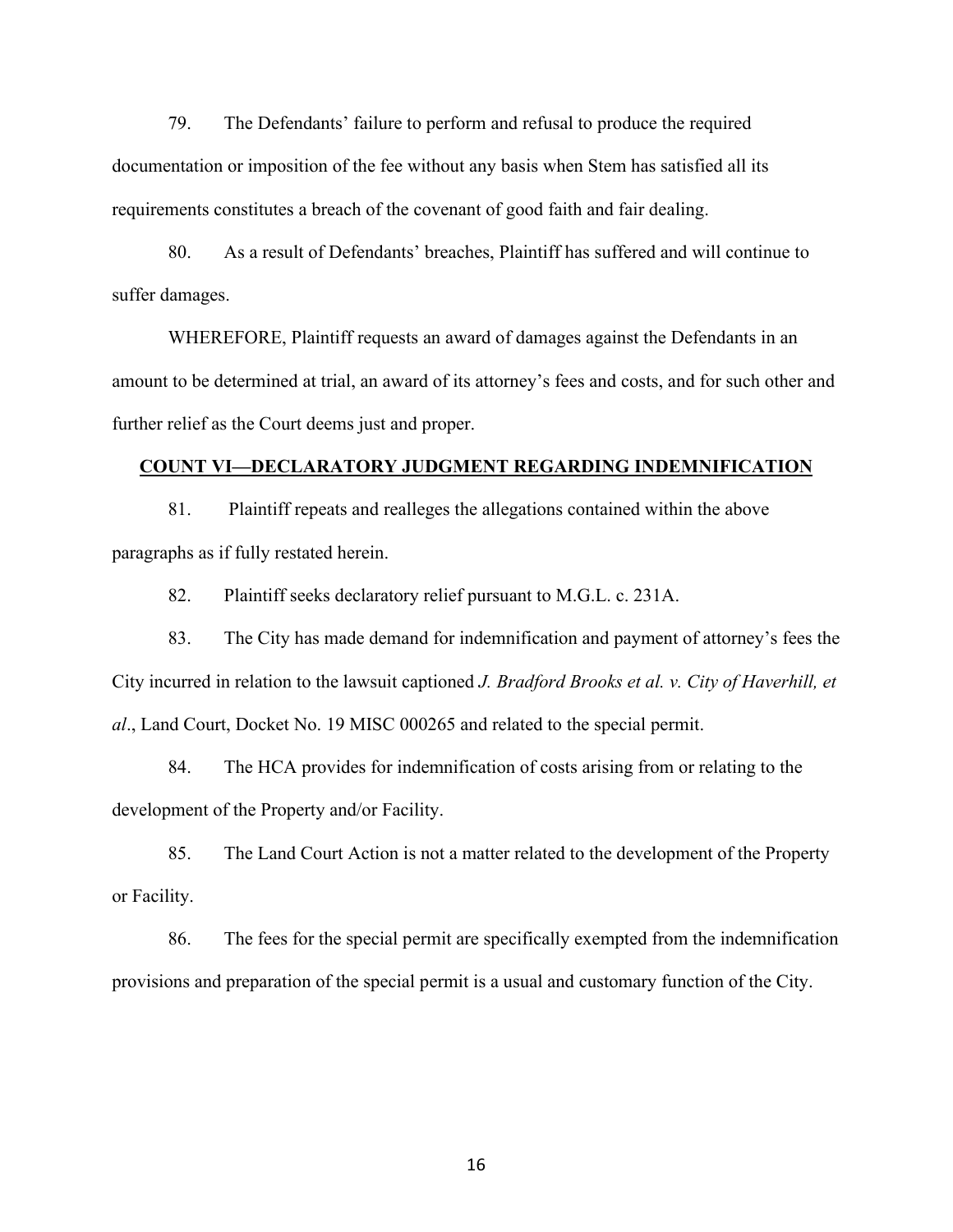79. The Defendants' failure to perform and refusal to produce the required documentation or imposition of the fee without any basis when Stem has satisfied all its requirements constitutes a breach of the covenant of good faith and fair dealing.

80. As a result of Defendants' breaches, Plaintiff has suffered and will continue to suffer damages.

WHEREFORE, Plaintiff requests an award of damages against the Defendants in an amount to be determined at trial, an award of its attorney's fees and costs, and for such other and further relief as the Court deems just and proper.

#### **COUNT VI—DECLARATORY JUDGMENT REGARDING INDEMNIFICATION**

81. Plaintiff repeats and realleges the allegations contained within the above paragraphs as if fully restated herein.

82. Plaintiff seeks declaratory relief pursuant to M.G.L. c. 231A.

83. The City has made demand for indemnification and payment of attorney's fees the City incurred in relation to the lawsuit captioned *J. Bradford Brooks et al. v. City of Haverhill, et al*., Land Court, Docket No. 19 MISC 000265 and related to the special permit.

84. The HCA provides for indemnification of costs arising from or relating to the development of the Property and/or Facility.

85. The Land Court Action is not a matter related to the development of the Property or Facility.

86. The fees for the special permit are specifically exempted from the indemnification provisions and preparation of the special permit is a usual and customary function of the City.